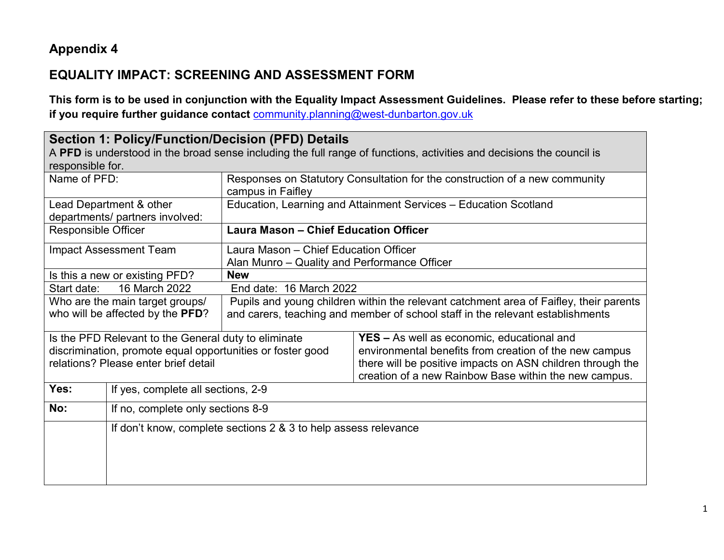## **Appendix 4**

## **EQUALITY IMPACT: SCREENING AND ASSESSMENT FORM**

**This form is to be used in conjunction with the Equality Impact Assessment Guidelines. Please refer to these before starting; if you require further guidance contact** [community.planning@west-dunbarton.gov.uk](mailto:community.planning@west-dunbarton.gov.uk)

| <b>Section 1: Policy/Function/Decision (PFD) Details</b>                                                              |                                                                             |                                                                                        |                                                                  |  |  |
|-----------------------------------------------------------------------------------------------------------------------|-----------------------------------------------------------------------------|----------------------------------------------------------------------------------------|------------------------------------------------------------------|--|--|
| A PFD is understood in the broad sense including the full range of functions, activities and decisions the council is |                                                                             |                                                                                        |                                                                  |  |  |
| responsible for.                                                                                                      |                                                                             |                                                                                        |                                                                  |  |  |
| Name of PFD:                                                                                                          | Responses on Statutory Consultation for the construction of a new community |                                                                                        |                                                                  |  |  |
|                                                                                                                       |                                                                             | campus in Faifley                                                                      |                                                                  |  |  |
|                                                                                                                       | Lead Department & other                                                     |                                                                                        | Education, Learning and Attainment Services - Education Scotland |  |  |
|                                                                                                                       | departments/ partners involved:                                             |                                                                                        |                                                                  |  |  |
|                                                                                                                       | <b>Laura Mason - Chief Education Officer</b><br><b>Responsible Officer</b>  |                                                                                        |                                                                  |  |  |
|                                                                                                                       | Impact Assessment Team                                                      | Laura Mason - Chief Education Officer                                                  |                                                                  |  |  |
|                                                                                                                       |                                                                             | Alan Munro - Quality and Performance Officer                                           |                                                                  |  |  |
|                                                                                                                       | <b>New</b><br>Is this a new or existing PFD?                                |                                                                                        |                                                                  |  |  |
| Start date:                                                                                                           | 16 March 2022<br>End date: 16 March 2022                                    |                                                                                        |                                                                  |  |  |
|                                                                                                                       | Who are the main target groups/                                             | Pupils and young children within the relevant catchment area of Faifley, their parents |                                                                  |  |  |
| who will be affected by the PFD?                                                                                      |                                                                             | and carers, teaching and member of school staff in the relevant establishments         |                                                                  |  |  |
| Is the PFD Relevant to the General duty to eliminate                                                                  |                                                                             |                                                                                        | <b>YES</b> – As well as economic, educational and                |  |  |
|                                                                                                                       | discrimination, promote equal opportunities or foster good                  |                                                                                        | environmental benefits from creation of the new campus           |  |  |
| relations? Please enter brief detail                                                                                  |                                                                             |                                                                                        | there will be positive impacts on ASN children through the       |  |  |
|                                                                                                                       |                                                                             |                                                                                        | creation of a new Rainbow Base within the new campus.            |  |  |
| Yes:                                                                                                                  | If yes, complete all sections, 2-9                                          |                                                                                        |                                                                  |  |  |
| No:                                                                                                                   |                                                                             | If no, complete only sections 8-9                                                      |                                                                  |  |  |
|                                                                                                                       | If don't know, complete sections 2 & 3 to help assess relevance             |                                                                                        |                                                                  |  |  |
|                                                                                                                       |                                                                             |                                                                                        |                                                                  |  |  |
|                                                                                                                       |                                                                             |                                                                                        |                                                                  |  |  |
|                                                                                                                       |                                                                             |                                                                                        |                                                                  |  |  |
|                                                                                                                       |                                                                             |                                                                                        |                                                                  |  |  |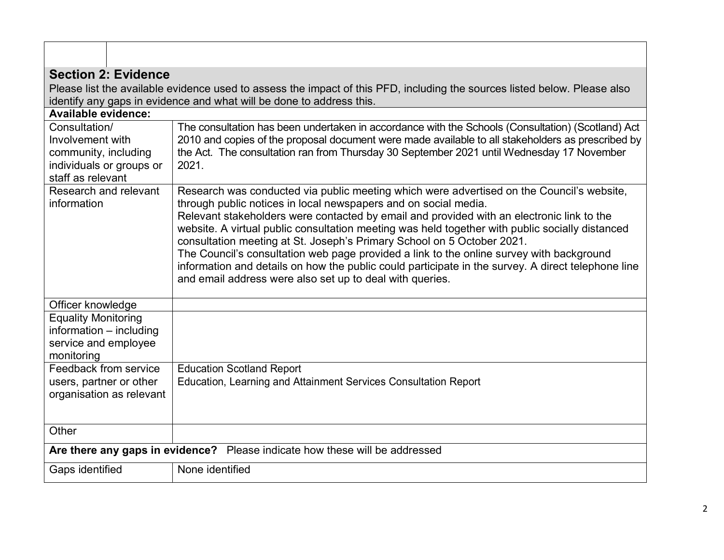| <b>Section 2: Evidence</b>                                                                                 |                                                                                                                                                                                                                                                                                                                                                                                                                                                                                                                                                                                                                                                                                                      |  |  |  |
|------------------------------------------------------------------------------------------------------------|------------------------------------------------------------------------------------------------------------------------------------------------------------------------------------------------------------------------------------------------------------------------------------------------------------------------------------------------------------------------------------------------------------------------------------------------------------------------------------------------------------------------------------------------------------------------------------------------------------------------------------------------------------------------------------------------------|--|--|--|
|                                                                                                            | Please list the available evidence used to assess the impact of this PFD, including the sources listed below. Please also                                                                                                                                                                                                                                                                                                                                                                                                                                                                                                                                                                            |  |  |  |
|                                                                                                            | identify any gaps in evidence and what will be done to address this.                                                                                                                                                                                                                                                                                                                                                                                                                                                                                                                                                                                                                                 |  |  |  |
| <b>Available evidence:</b>                                                                                 |                                                                                                                                                                                                                                                                                                                                                                                                                                                                                                                                                                                                                                                                                                      |  |  |  |
| Consultation/<br>Involvement with<br>community, including<br>individuals or groups or<br>staff as relevant | The consultation has been undertaken in accordance with the Schools (Consultation) (Scotland) Act<br>2010 and copies of the proposal document were made available to all stakeholders as prescribed by<br>the Act. The consultation ran from Thursday 30 September 2021 until Wednesday 17 November<br>2021.                                                                                                                                                                                                                                                                                                                                                                                         |  |  |  |
| Research and relevant<br>information                                                                       | Research was conducted via public meeting which were advertised on the Council's website,<br>through public notices in local newspapers and on social media.<br>Relevant stakeholders were contacted by email and provided with an electronic link to the<br>website. A virtual public consultation meeting was held together with public socially distanced<br>consultation meeting at St. Joseph's Primary School on 5 October 2021.<br>The Council's consultation web page provided a link to the online survey with background<br>information and details on how the public could participate in the survey. A direct telephone line<br>and email address were also set up to deal with queries. |  |  |  |
| Officer knowledge                                                                                          |                                                                                                                                                                                                                                                                                                                                                                                                                                                                                                                                                                                                                                                                                                      |  |  |  |
| <b>Equality Monitoring</b><br>information - including<br>service and employee<br>monitoring                |                                                                                                                                                                                                                                                                                                                                                                                                                                                                                                                                                                                                                                                                                                      |  |  |  |
| Feedback from service<br>users, partner or other<br>organisation as relevant                               | <b>Education Scotland Report</b><br>Education, Learning and Attainment Services Consultation Report                                                                                                                                                                                                                                                                                                                                                                                                                                                                                                                                                                                                  |  |  |  |
| Other                                                                                                      |                                                                                                                                                                                                                                                                                                                                                                                                                                                                                                                                                                                                                                                                                                      |  |  |  |
| Are there any gaps in evidence? Please indicate how these will be addressed                                |                                                                                                                                                                                                                                                                                                                                                                                                                                                                                                                                                                                                                                                                                                      |  |  |  |
| Gaps identified                                                                                            | None identified                                                                                                                                                                                                                                                                                                                                                                                                                                                                                                                                                                                                                                                                                      |  |  |  |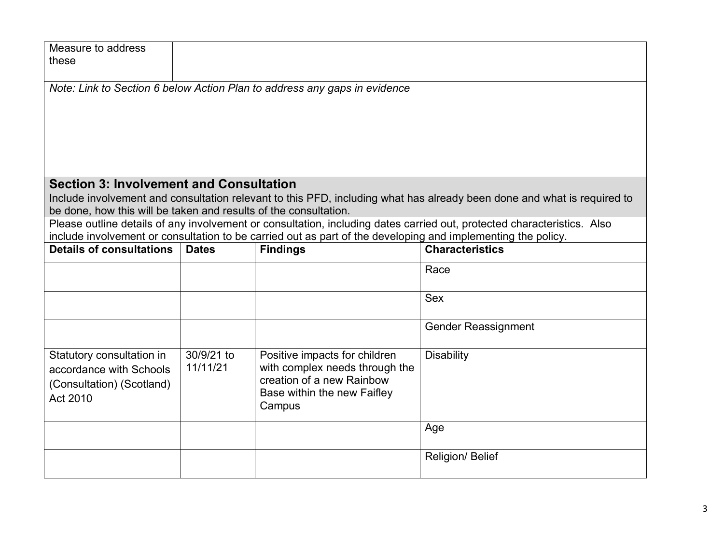| Measure to address                                               |                                                                           |                                                                                                              |                                                                                                                         |  |
|------------------------------------------------------------------|---------------------------------------------------------------------------|--------------------------------------------------------------------------------------------------------------|-------------------------------------------------------------------------------------------------------------------------|--|
| these                                                            |                                                                           |                                                                                                              |                                                                                                                         |  |
|                                                                  | Note: Link to Section 6 below Action Plan to address any gaps in evidence |                                                                                                              |                                                                                                                         |  |
|                                                                  |                                                                           |                                                                                                              |                                                                                                                         |  |
|                                                                  |                                                                           |                                                                                                              |                                                                                                                         |  |
|                                                                  |                                                                           |                                                                                                              |                                                                                                                         |  |
|                                                                  |                                                                           |                                                                                                              |                                                                                                                         |  |
|                                                                  |                                                                           |                                                                                                              |                                                                                                                         |  |
| <b>Section 3: Involvement and Consultation</b>                   |                                                                           |                                                                                                              |                                                                                                                         |  |
|                                                                  |                                                                           |                                                                                                              | Include involvement and consultation relevant to this PFD, including what has already been done and what is required to |  |
| be done, how this will be taken and results of the consultation. |                                                                           |                                                                                                              |                                                                                                                         |  |
|                                                                  |                                                                           |                                                                                                              | Please outline details of any involvement or consultation, including dates carried out, protected characteristics. Also |  |
| <b>Details of consultations</b>                                  | <b>Dates</b>                                                              | include involvement or consultation to be carried out as part of the developing and implementing the policy. | <b>Characteristics</b>                                                                                                  |  |
|                                                                  |                                                                           | <b>Findings</b>                                                                                              |                                                                                                                         |  |
|                                                                  |                                                                           |                                                                                                              | Race                                                                                                                    |  |
|                                                                  |                                                                           |                                                                                                              |                                                                                                                         |  |
|                                                                  |                                                                           |                                                                                                              | <b>Sex</b>                                                                                                              |  |
|                                                                  |                                                                           |                                                                                                              | <b>Gender Reassignment</b>                                                                                              |  |
|                                                                  |                                                                           |                                                                                                              |                                                                                                                         |  |
| Statutory consultation in                                        | 30/9/21 to                                                                | Positive impacts for children                                                                                | <b>Disability</b>                                                                                                       |  |
| accordance with Schools                                          | 11/11/21                                                                  | with complex needs through the                                                                               |                                                                                                                         |  |
| (Consultation) (Scotland)                                        |                                                                           | creation of a new Rainbow                                                                                    |                                                                                                                         |  |
| Act 2010                                                         |                                                                           | Base within the new Faifley<br>Campus                                                                        |                                                                                                                         |  |
|                                                                  |                                                                           |                                                                                                              |                                                                                                                         |  |
|                                                                  |                                                                           |                                                                                                              | Age                                                                                                                     |  |
|                                                                  |                                                                           |                                                                                                              |                                                                                                                         |  |
|                                                                  |                                                                           |                                                                                                              | Religion/ Belief                                                                                                        |  |
|                                                                  |                                                                           |                                                                                                              |                                                                                                                         |  |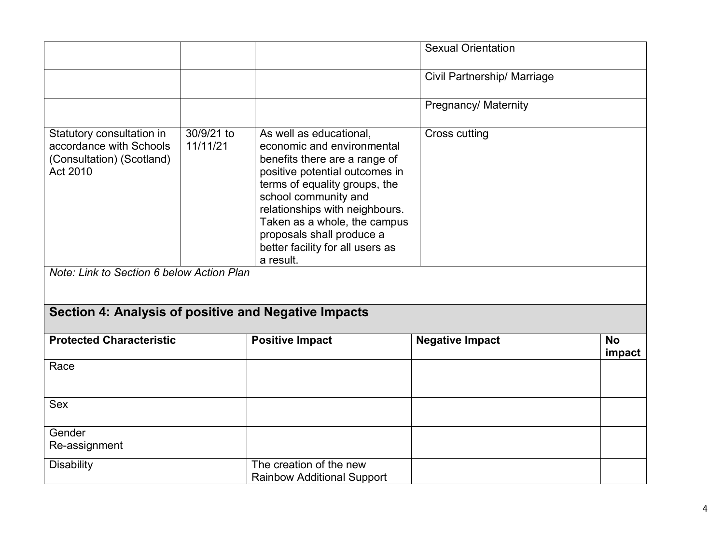|                                                                                                                                            |                        |                                                                                                                                                                                                                                                                                                                                   | <b>Sexual Orientation</b>   |                     |
|--------------------------------------------------------------------------------------------------------------------------------------------|------------------------|-----------------------------------------------------------------------------------------------------------------------------------------------------------------------------------------------------------------------------------------------------------------------------------------------------------------------------------|-----------------------------|---------------------|
|                                                                                                                                            |                        |                                                                                                                                                                                                                                                                                                                                   | Civil Partnership/ Marriage |                     |
|                                                                                                                                            |                        |                                                                                                                                                                                                                                                                                                                                   | Pregnancy/ Maternity        |                     |
| Statutory consultation in<br>accordance with Schools<br>(Consultation) (Scotland)<br>Act 2010<br>Note: Link to Section 6 below Action Plan | 30/9/21 to<br>11/11/21 | As well as educational,<br>economic and environmental<br>benefits there are a range of<br>positive potential outcomes in<br>terms of equality groups, the<br>school community and<br>relationships with neighbours.<br>Taken as a whole, the campus<br>proposals shall produce a<br>better facility for all users as<br>a result. | Cross cutting               |                     |
| Section 4: Analysis of positive and Negative Impacts                                                                                       |                        |                                                                                                                                                                                                                                                                                                                                   |                             |                     |
| <b>Protected Characteristic</b>                                                                                                            |                        | <b>Positive Impact</b>                                                                                                                                                                                                                                                                                                            | <b>Negative Impact</b>      | <b>No</b><br>impact |
| Race                                                                                                                                       |                        |                                                                                                                                                                                                                                                                                                                                   |                             |                     |
| <b>Sex</b>                                                                                                                                 |                        |                                                                                                                                                                                                                                                                                                                                   |                             |                     |
| Gender<br>Re-assignment                                                                                                                    |                        |                                                                                                                                                                                                                                                                                                                                   |                             |                     |
| <b>Disability</b>                                                                                                                          |                        | The creation of the new<br><b>Rainbow Additional Support</b>                                                                                                                                                                                                                                                                      |                             |                     |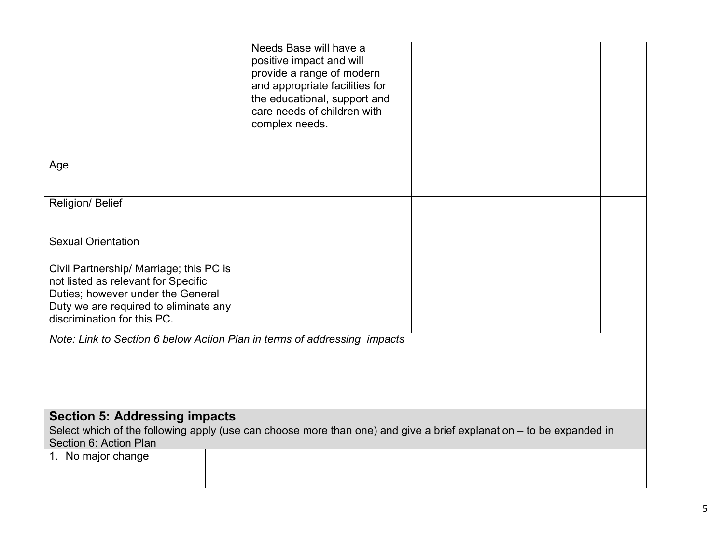|                                                                                                                                                                                             | Needs Base will have a<br>positive impact and will<br>provide a range of modern<br>and appropriate facilities for<br>the educational, support and<br>care needs of children with |  |  |
|---------------------------------------------------------------------------------------------------------------------------------------------------------------------------------------------|----------------------------------------------------------------------------------------------------------------------------------------------------------------------------------|--|--|
|                                                                                                                                                                                             | complex needs.                                                                                                                                                                   |  |  |
| Age                                                                                                                                                                                         |                                                                                                                                                                                  |  |  |
| Religion/ Belief                                                                                                                                                                            |                                                                                                                                                                                  |  |  |
| <b>Sexual Orientation</b>                                                                                                                                                                   |                                                                                                                                                                                  |  |  |
| Civil Partnership/ Marriage; this PC is<br>not listed as relevant for Specific<br>Duties; however under the General<br>Duty we are required to eliminate any<br>discrimination for this PC. |                                                                                                                                                                                  |  |  |
| Note: Link to Section 6 below Action Plan in terms of addressing impacts                                                                                                                    |                                                                                                                                                                                  |  |  |
| <b>Section 5: Addressing impacts</b><br>Select which of the following apply (use can choose more than one) and give a brief explanation – to be expanded in<br>Section 6: Action Plan       |                                                                                                                                                                                  |  |  |
| 1. No major change                                                                                                                                                                          |                                                                                                                                                                                  |  |  |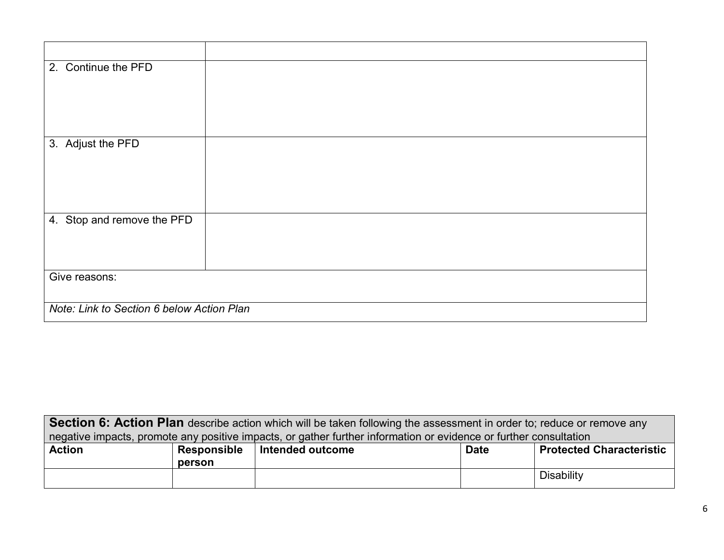| 2. Continue the PFD                       |  |  |
|-------------------------------------------|--|--|
|                                           |  |  |
|                                           |  |  |
| 3. Adjust the PFD                         |  |  |
|                                           |  |  |
|                                           |  |  |
| 4. Stop and remove the PFD                |  |  |
|                                           |  |  |
|                                           |  |  |
| Give reasons:                             |  |  |
| Note: Link to Section 6 below Action Plan |  |  |

| <b>Section 6: Action Plan</b> describe action which will be taken following the assessment in order to; reduce or remove any |  |  |  |  |
|------------------------------------------------------------------------------------------------------------------------------|--|--|--|--|
| negative impacts, promote any positive impacts, or gather further information or evidence or further consultation            |  |  |  |  |
| <b>Protected Characteristic</b><br><b>Date</b>                                                                               |  |  |  |  |
|                                                                                                                              |  |  |  |  |
| Disability                                                                                                                   |  |  |  |  |
|                                                                                                                              |  |  |  |  |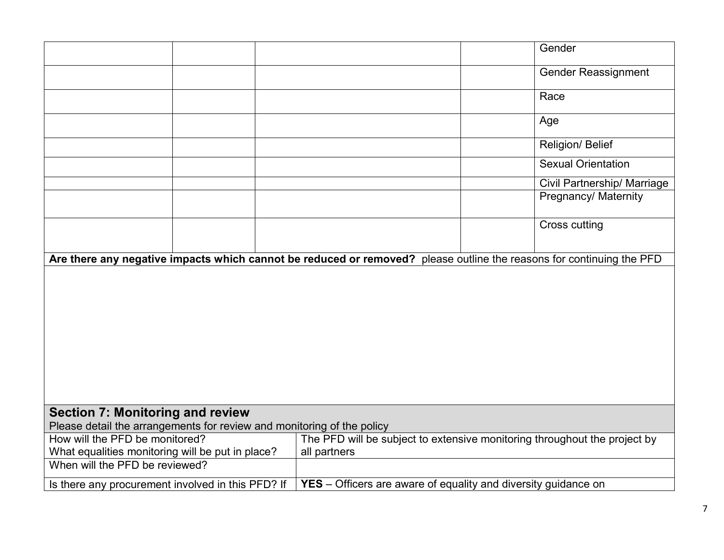|                                                                                                                            | Gender                                                                                                               |  |  |
|----------------------------------------------------------------------------------------------------------------------------|----------------------------------------------------------------------------------------------------------------------|--|--|
|                                                                                                                            | <b>Gender Reassignment</b>                                                                                           |  |  |
|                                                                                                                            | Race                                                                                                                 |  |  |
|                                                                                                                            | Age                                                                                                                  |  |  |
|                                                                                                                            | Religion/ Belief                                                                                                     |  |  |
|                                                                                                                            | <b>Sexual Orientation</b>                                                                                            |  |  |
|                                                                                                                            | Civil Partnership/ Marriage                                                                                          |  |  |
|                                                                                                                            | Pregnancy/ Maternity                                                                                                 |  |  |
|                                                                                                                            | <b>Cross cutting</b>                                                                                                 |  |  |
|                                                                                                                            | Are there any negative impacts which cannot be reduced or removed? please outline the reasons for continuing the PFD |  |  |
|                                                                                                                            |                                                                                                                      |  |  |
|                                                                                                                            |                                                                                                                      |  |  |
|                                                                                                                            |                                                                                                                      |  |  |
|                                                                                                                            |                                                                                                                      |  |  |
|                                                                                                                            |                                                                                                                      |  |  |
|                                                                                                                            |                                                                                                                      |  |  |
|                                                                                                                            |                                                                                                                      |  |  |
| <b>Section 7: Monitoring and review</b>                                                                                    |                                                                                                                      |  |  |
| Please detail the arrangements for review and monitoring of the policy                                                     |                                                                                                                      |  |  |
| How will the PFD be monitored?<br>The PFD will be subject to extensive monitoring throughout the project by                |                                                                                                                      |  |  |
| What equalities monitoring will be put in place?<br>all partners                                                           |                                                                                                                      |  |  |
| When will the PFD be reviewed?                                                                                             |                                                                                                                      |  |  |
| <b>YES</b> – Officers are aware of equality and diversity guidance on<br>Is there any procurement involved in this PFD? If |                                                                                                                      |  |  |